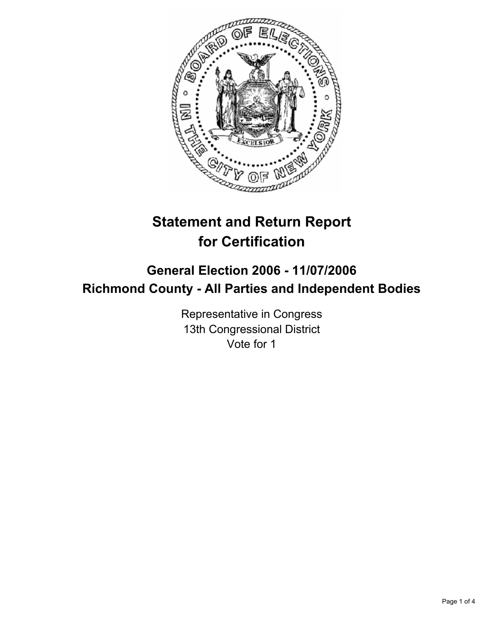

# **Statement and Return Report for Certification**

# **General Election 2006 - 11/07/2006 Richmond County - All Parties and Independent Bodies**

Representative in Congress 13th Congressional District Vote for 1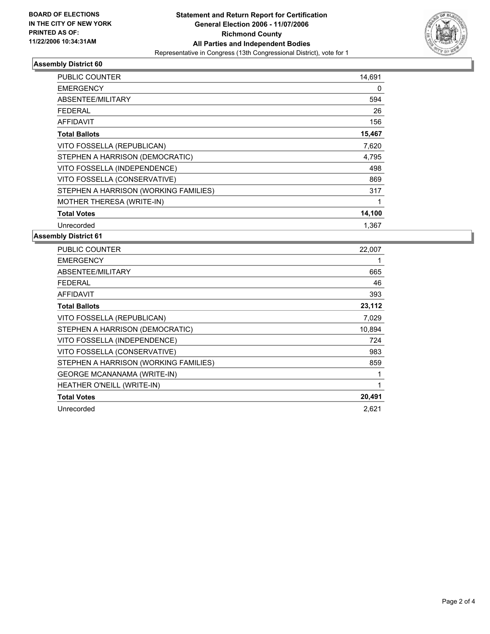

# **Assembly District 60**

| <b>PUBLIC COUNTER</b>                 | 14,691 |
|---------------------------------------|--------|
| <b>EMERGENCY</b>                      | 0      |
| ABSENTEE/MILITARY                     | 594    |
| <b>FEDERAL</b>                        | 26     |
| AFFIDAVIT                             | 156    |
| <b>Total Ballots</b>                  | 15,467 |
| VITO FOSSELLA (REPUBLICAN)            | 7,620  |
| STEPHEN A HARRISON (DEMOCRATIC)       | 4,795  |
| VITO FOSSELLA (INDEPENDENCE)          | 498    |
| VITO FOSSELLA (CONSERVATIVE)          | 869    |
| STEPHEN A HARRISON (WORKING FAMILIES) | 317    |
| MOTHER THERESA (WRITE-IN)             |        |
| <b>Total Votes</b>                    | 14,100 |
| Unrecorded                            | 1.367  |

# **Assembly District 61**

| PUBLIC COUNTER                        | 22,007 |
|---------------------------------------|--------|
| <b>EMERGENCY</b>                      |        |
| ABSENTEE/MILITARY                     | 665    |
| <b>FEDERAL</b>                        | 46     |
| <b>AFFIDAVIT</b>                      | 393    |
| <b>Total Ballots</b>                  | 23,112 |
| VITO FOSSELLA (REPUBLICAN)            | 7,029  |
| STEPHEN A HARRISON (DEMOCRATIC)       | 10,894 |
| VITO FOSSELLA (INDEPENDENCE)          | 724    |
| VITO FOSSELLA (CONSERVATIVE)          | 983    |
| STEPHEN A HARRISON (WORKING FAMILIES) | 859    |
| <b>GEORGE MCANANAMA (WRITE-IN)</b>    |        |
| HEATHER O'NEILL (WRITE-IN)            |        |
| <b>Total Votes</b>                    | 20,491 |
| Unrecorded                            | 2,621  |
|                                       |        |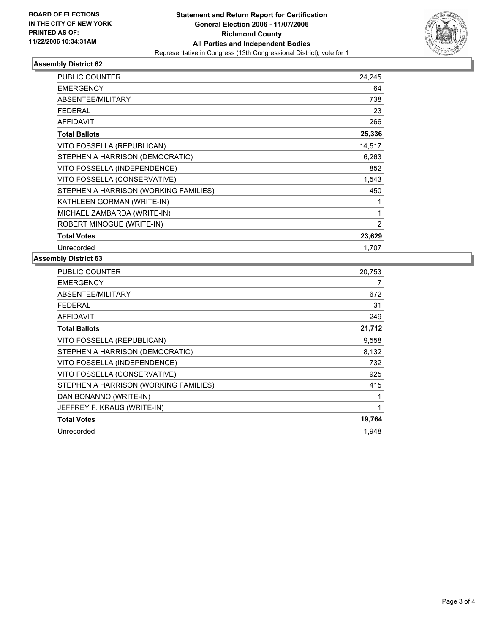

# **Assembly District 62**

| PUBLIC COUNTER                        | 24,245 |
|---------------------------------------|--------|
| <b>EMERGENCY</b>                      | 64     |
| ABSENTEE/MILITARY                     | 738    |
| <b>FEDERAL</b>                        | 23     |
| <b>AFFIDAVIT</b>                      | 266    |
| <b>Total Ballots</b>                  | 25,336 |
| VITO FOSSELLA (REPUBLICAN)            | 14,517 |
| STEPHEN A HARRISON (DEMOCRATIC)       | 6,263  |
| VITO FOSSELLA (INDEPENDENCE)          | 852    |
| VITO FOSSELLA (CONSERVATIVE)          | 1,543  |
| STEPHEN A HARRISON (WORKING FAMILIES) | 450    |
| KATHLEEN GORMAN (WRITE-IN)            |        |
| MICHAEL ZAMBARDA (WRITE-IN)           |        |
| ROBERT MINOGUE (WRITE-IN)             | 2      |
| <b>Total Votes</b>                    | 23,629 |
| Unrecorded                            | 1.707  |

# **Assembly District 63**

| PUBLIC COUNTER                        | 20,753 |
|---------------------------------------|--------|
| <b>EMERGENCY</b>                      |        |
| ABSENTEE/MILITARY                     | 672    |
| <b>FEDERAL</b>                        | 31     |
| <b>AFFIDAVIT</b>                      | 249    |
| <b>Total Ballots</b>                  | 21,712 |
| VITO FOSSELLA (REPUBLICAN)            | 9,558  |
| STEPHEN A HARRISON (DEMOCRATIC)       | 8,132  |
| VITO FOSSELLA (INDEPENDENCE)          | 732    |
| VITO FOSSELLA (CONSERVATIVE)          | 925    |
| STEPHEN A HARRISON (WORKING FAMILIES) | 415    |
| DAN BONANNO (WRITE-IN)                |        |
| JEFFREY F. KRAUS (WRITE-IN)           |        |
| <b>Total Votes</b>                    | 19,764 |
| Unrecorded                            | 1,948  |
|                                       |        |